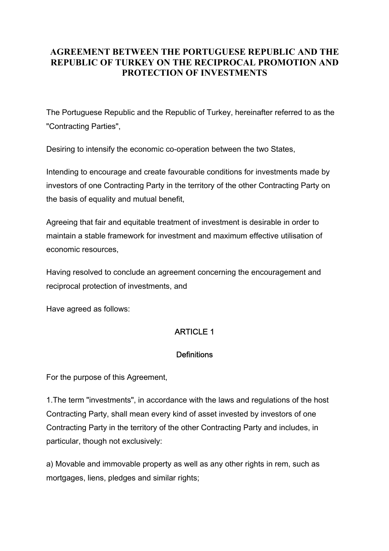# **AGREEMENT BETWEEN THE PORTUGUESE REPUBLIC AND THE REPUBLIC OF TURKEY ON THE RECIPROCAL PROMOTION AND PROTECTION OF INVESTMENTS**

The Portuguese Republic and the Republic of Turkey, hereinafter referred to as the "Contracting Parties",

Desiring to intensify the economic co-operation between the two States,

Intending to encourage and create favourable conditions for investments made by investors of one Contracting Party in the territory of the other Contracting Party on the basis of equality and mutual benefit,

Agreeing that fair and equitable treatment of investment is desirable in order to maintain a stable framework for investment and maximum effective utilisation of economic resources,

Having resolved to conclude an agreement concerning the encouragement and reciprocal protection of investments, and

Have agreed as follows:

# ARTICLE 1

## **Definitions**

For the purpose of this Agreement,

1.The term "investments", in accordance with the laws and regulations of the host Contracting Party, shall mean every kind of asset invested by investors of one Contracting Party in the territory of the other Contracting Party and includes, in particular, though not exclusively:

a) Movable and immovable property as well as any other rights in rem, such as mortgages, liens, pledges and similar rights;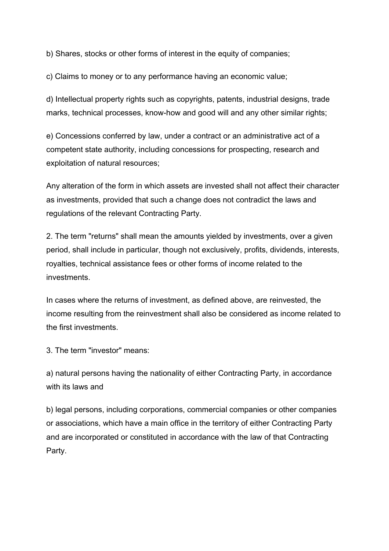b) Shares, stocks or other forms of interest in the equity of companies;

c) Claims to money or to any performance having an economic value;

d) Intellectual property rights such as copyrights, patents, industrial designs, trade marks, technical processes, know-how and good will and any other similar rights;

e) Concessions conferred by law, under a contract or an administrative act of a competent state authority, including concessions for prospecting, research and exploitation of natural resources;

Any alteration of the form in which assets are invested shall not affect their character as investments, provided that such a change does not contradict the laws and regulations of the relevant Contracting Party.

2. The term "returns" shall mean the amounts yielded by investments, over a given period, shall include in particular, though not exclusively, profits, dividends, interests, royalties, technical assistance fees or other forms of income related to the investments.

In cases where the returns of investment, as defined above, are reinvested, the income resulting from the reinvestment shall also be considered as income related to the first investments.

3. The term "investor" means:

a) natural persons having the nationality of either Contracting Party, in accordance with its laws and

b) legal persons, including corporations, commercial companies or other companies or associations, which have a main office in the territory of either Contracting Party and are incorporated or constituted in accordance with the law of that Contracting Party.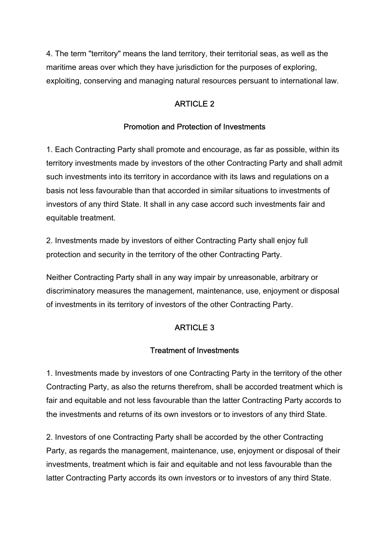4. The term "territory" means the land territory, their territorial seas, as well as the maritime areas over which they have jurisdiction for the purposes of exploring, exploiting, conserving and managing natural resources persuant to international law.

## ARTICLE 2

### Promotion and Protection of Investments

1. Each Contracting Party shall promote and encourage, as far as possible, within its territory investments made by investors of the other Contracting Party and shall admit such investments into its territory in accordance with its laws and regulations on a basis not less favourable than that accorded in similar situations to investments of investors of any third State. It shall in any case accord such investments fair and equitable treatment.

2. Investments made by investors of either Contracting Party shall enjoy full protection and security in the territory of the other Contracting Party.

Neither Contracting Party shall in any way impair by unreasonable, arbitrary or discriminatory measures the management, maintenance, use, enjoyment or disposal of investments in its territory of investors of the other Contracting Party.

## ARTICLE 3

#### Treatment of Investments

1. Investments made by investors of one Contracting Party in the territory of the other Contracting Party, as also the returns therefrom, shall be accorded treatment which is fair and equitable and not less favourable than the latter Contracting Party accords to the investments and returns of its own investors or to investors of any third State.

2. Investors of one Contracting Party shall be accorded by the other Contracting Party, as regards the management, maintenance, use, enjoyment or disposal of their investments, treatment which is fair and equitable and not less favourable than the latter Contracting Party accords its own investors or to investors of any third State.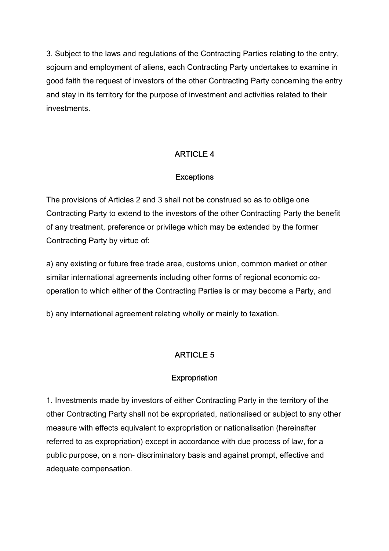3. Subject to the laws and regulations of the Contracting Parties relating to the entry, sojourn and employment of aliens, each Contracting Party undertakes to examine in good faith the request of investors of the other Contracting Party concerning the entry and stay in its territory for the purpose of investment and activities related to their investments.

# ARTICLE 4

### **Exceptions**

The provisions of Articles 2 and 3 shall not be construed so as to oblige one Contracting Party to extend to the investors of the other Contracting Party the benefit of any treatment, preference or privilege which may be extended by the former Contracting Party by virtue of:

a) any existing or future free trade area, customs union, common market or other similar international agreements including other forms of regional economic cooperation to which either of the Contracting Parties is or may become a Party, and

b) any international agreement relating wholly or mainly to taxation.

# ARTICLE 5

## **Expropriation**

1. Investments made by investors of either Contracting Party in the territory of the other Contracting Party shall not be expropriated, nationalised or subject to any other measure with effects equivalent to expropriation or nationalisation (hereinafter referred to as expropriation) except in accordance with due process of law, for a public purpose, on a non- discriminatory basis and against prompt, effective and adequate compensation.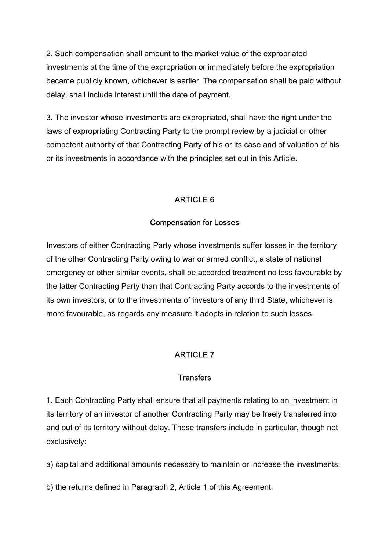2. Such compensation shall amount to the market value of the expropriated investments at the time of the expropriation or immediately before the expropriation became publicly known, whichever is earlier. The compensation shall be paid without delay, shall include interest until the date of payment.

3. The investor whose investments are expropriated, shall have the right under the laws of expropriating Contracting Party to the prompt review by a judicial or other competent authority of that Contracting Party of his or its case and of valuation of his or its investments in accordance with the principles set out in this Article.

## ARTICLE 6

#### Compensation for Losses

Investors of either Contracting Party whose investments suffer losses in the territory of the other Contracting Party owing to war or armed conflict, a state of national emergency or other similar events, shall be accorded treatment no less favourable by the latter Contracting Party than that Contracting Party accords to the investments of its own investors, or to the investments of investors of any third State, whichever is more favourable, as regards any measure it adopts in relation to such losses.

#### ARTICLE 7

#### **Transfers**

1. Each Contracting Party shall ensure that all payments relating to an investment in its territory of an investor of another Contracting Party may be freely transferred into and out of its territory without delay. These transfers include in particular, though not exclusively:

a) capital and additional amounts necessary to maintain or increase the investments;

b) the returns defined in Paragraph 2, Article 1 of this Agreement;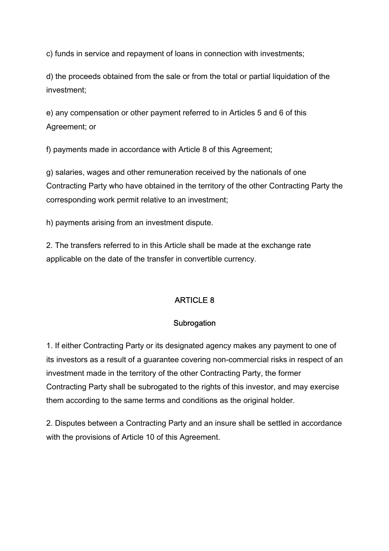c) funds in service and repayment of loans in connection with investments;

d) the proceeds obtained from the sale or from the total or partial liquidation of the investment;

e) any compensation or other payment referred to in Articles 5 and 6 of this Agreement; or

f) payments made in accordance with Article 8 of this Agreement;

g) salaries, wages and other remuneration received by the nationals of one Contracting Party who have obtained in the territory of the other Contracting Party the corresponding work permit relative to an investment;

h) payments arising from an investment dispute.

2. The transfers referred to in this Article shall be made at the exchange rate applicable on the date of the transfer in convertible currency.

## ARTICLE 8

#### **Subrogation**

1. If either Contracting Party or its designated agency makes any payment to one of its investors as a result of a guarantee covering non-commercial risks in respect of an investment made in the territory of the other Contracting Party, the former Contracting Party shall be subrogated to the rights of this investor, and may exercise them according to the same terms and conditions as the original holder.

2. Disputes between a Contracting Party and an insure shall be settled in accordance with the provisions of Article 10 of this Agreement.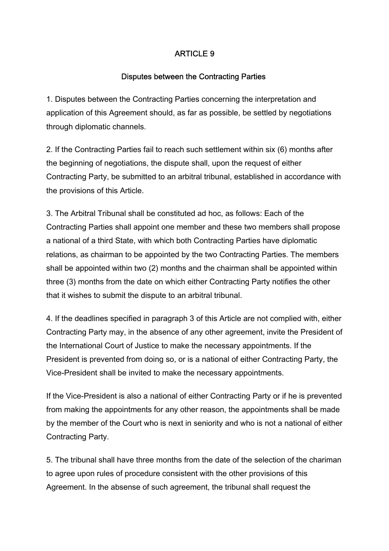## ARTICLE 9

#### Disputes between the Contracting Parties

1. Disputes between the Contracting Parties concerning the interpretation and application of this Agreement should, as far as possible, be settled by negotiations through diplomatic channels.

2. If the Contracting Parties fail to reach such settlement within six (6) months after the beginning of negotiations, the dispute shall, upon the request of either Contracting Party, be submitted to an arbitral tribunal, established in accordance with the provisions of this Article.

3. The Arbitral Tribunal shall be constituted ad hoc, as follows: Each of the Contracting Parties shall appoint one member and these two members shall propose a national of a third State, with which both Contracting Parties have diplomatic relations, as chairman to be appointed by the two Contracting Parties. The members shall be appointed within two (2) months and the chairman shall be appointed within three (3) months from the date on which either Contracting Party notifies the other that it wishes to submit the dispute to an arbitral tribunal.

4. If the deadlines specified in paragraph 3 of this Article are not complied with, either Contracting Party may, in the absence of any other agreement, invite the President of the International Court of Justice to make the necessary appointments. If the President is prevented from doing so, or is a national of either Contracting Party, the Vice-President shall be invited to make the necessary appointments.

If the Vice-President is also a national of either Contracting Party or if he is prevented from making the appointments for any other reason, the appointments shall be made by the member of the Court who is next in seniority and who is not a national of either Contracting Party.

5. The tribunal shall have three months from the date of the selection of the chariman to agree upon rules of procedure consistent with the other provisions of this Agreement. In the absense of such agreement, the tribunal shall request the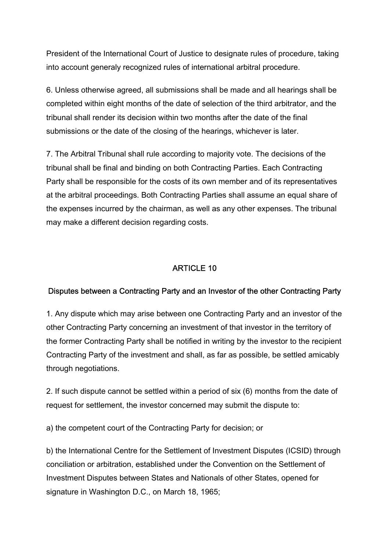President of the International Court of Justice to designate rules of procedure, taking into account generaly recognized rules of international arbitral procedure.

6. Unless otherwise agreed, all submissions shall be made and all hearings shall be completed within eight months of the date of selection of the third arbitrator, and the tribunal shall render its decision within two months after the date of the final submissions or the date of the closing of the hearings, whichever is later.

7. The Arbitral Tribunal shall rule according to majority vote. The decisions of the tribunal shall be final and binding on both Contracting Parties. Each Contracting Party shall be responsible for the costs of its own member and of its representatives at the arbitral proceedings. Both Contracting Parties shall assume an equal share of the expenses incurred by the chairman, as well as any other expenses. The tribunal may make a different decision regarding costs.

### ARTICLE 10

#### Disputes between a Contracting Party and an Investor of the other Contracting Party

1. Any dispute which may arise between one Contracting Party and an investor of the other Contracting Party concerning an investment of that investor in the territory of the former Contracting Party shall be notified in writing by the investor to the recipient Contracting Party of the investment and shall, as far as possible, be settled amicably through negotiations.

2. If such dispute cannot be settled within a period of six (6) months from the date of request for settlement, the investor concerned may submit the dispute to:

a) the competent court of the Contracting Party for decision; or

b) the International Centre for the Settlement of Investment Disputes (ICSID) through conciliation or arbitration, established under the Convention on the Settlement of Investment Disputes between States and Nationals of other States, opened for signature in Washington D.C., on March 18, 1965;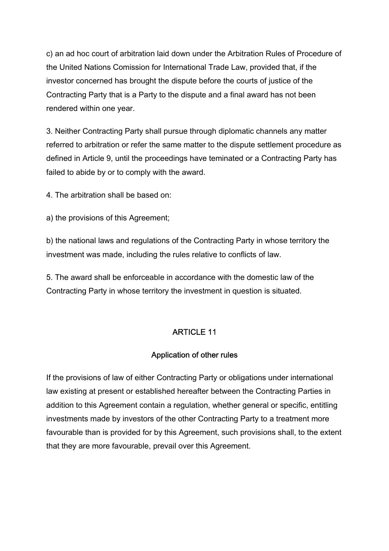c) an ad hoc court of arbitration laid down under the Arbitration Rules of Procedure of the United Nations Comission for International Trade Law, provided that, if the investor concerned has brought the dispute before the courts of justice of the Contracting Party that is a Party to the dispute and a final award has not been rendered within one year.

3. Neither Contracting Party shall pursue through diplomatic channels any matter referred to arbitration or refer the same matter to the dispute settlement procedure as defined in Article 9, until the proceedings have teminated or a Contracting Party has failed to abide by or to comply with the award.

4. The arbitration shall be based on:

a) the provisions of this Agreement;

b) the national laws and regulations of the Contracting Party in whose territory the investment was made, including the rules relative to conflicts of law.

5. The award shall be enforceable in accordance with the domestic law of the Contracting Party in whose territory the investment in question is situated.

#### ARTICLE 11

#### Application of other rules

If the provisions of law of either Contracting Party or obligations under international law existing at present or established hereafter between the Contracting Parties in addition to this Agreement contain a regulation, whether general or specific, entitling investments made by investors of the other Contracting Party to a treatment more favourable than is provided for by this Agreement, such provisions shall, to the extent that they are more favourable, prevail over this Agreement.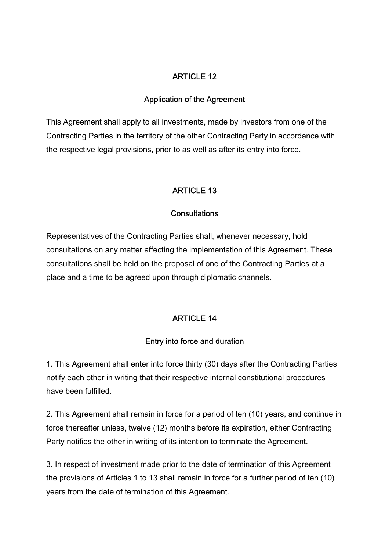### ARTICLE 12

#### Application of the Agreement

This Agreement shall apply to all investments, made by investors from one of the Contracting Parties in the territory of the other Contracting Party in accordance with the respective legal provisions, prior to as well as after its entry into force.

### ARTICLE 13

#### **Consultations**

Representatives of the Contracting Parties shall, whenever necessary, hold consultations on any matter affecting the implementation of this Agreement. These consultations shall be held on the proposal of one of the Contracting Parties at a place and a time to be agreed upon through diplomatic channels.

#### ARTICLE 14

#### Entry into force and duration

1. This Agreement shall enter into force thirty (30) days after the Contracting Parties notify each other in writing that their respective internal constitutional procedures have been fulfilled.

2. This Agreement shall remain in force for a period of ten (10) years, and continue in force thereafter unless, twelve (12) months before its expiration, either Contracting Party notifies the other in writing of its intention to terminate the Agreement.

3. In respect of investment made prior to the date of termination of this Agreement the provisions of Articles 1 to 13 shall remain in force for a further period of ten (10) years from the date of termination of this Agreement.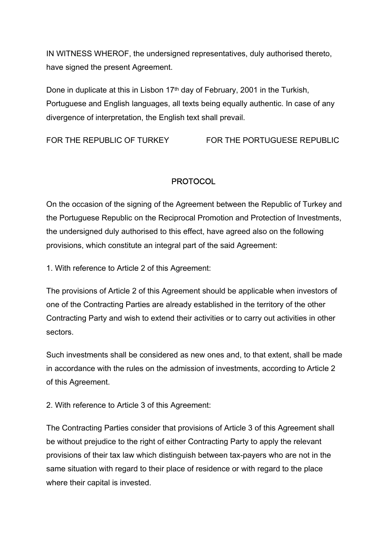IN WITNESS WHEROF, the undersigned representatives, duly authorised thereto, have signed the present Agreement.

Done in duplicate at this in Lisbon 17<sup>th</sup> day of February, 2001 in the Turkish, Portuguese and English languages, all texts being equally authentic. In case of any divergence of interpretation, the English text shall prevail.

FOR THE REPUBLIC OF TURKEY FOR THE PORTUGUESE REPUBLIC

# **PROTOCOL**

On the occasion of the signing of the Agreement between the Republic of Turkey and the Portuguese Republic on the Reciprocal Promotion and Protection of Investments, the undersigned duly authorised to this effect, have agreed also on the following provisions, which constitute an integral part of the said Agreement:

1. With reference to Article 2 of this Agreement:

The provisions of Article 2 of this Agreement should be applicable when investors of one of the Contracting Parties are already established in the territory of the other Contracting Party and wish to extend their activities or to carry out activities in other sectors.

Such investments shall be considered as new ones and, to that extent, shall be made in accordance with the rules on the admission of investments, according to Article 2 of this Agreement.

2. With reference to Article 3 of this Agreement:

The Contracting Parties consider that provisions of Article 3 of this Agreement shall be without prejudice to the right of either Contracting Party to apply the relevant provisions of their tax law which distinguish between tax-payers who are not in the same situation with regard to their place of residence or with regard to the place where their capital is invested.